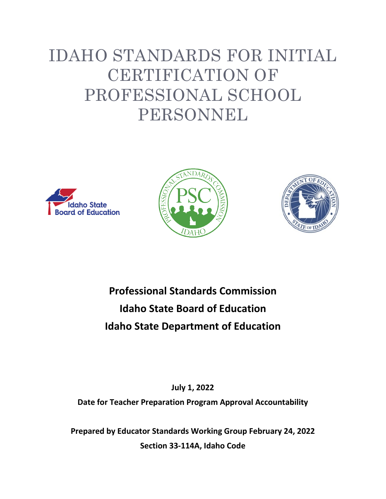# IDAHO STANDARDS FOR INITIAL CERTIFICATION OF PROFESSIONAL SCHOOL PERSONNEL







# **Professional Standards Commission Idaho State Board of Education Idaho State Department of Education**

**July 1, 2022**

**Date for Teacher Preparation Program Approval Accountability**

**Prepared by Educator Standards Working Group February 24, 2022 Section 33-114A, Idaho Code**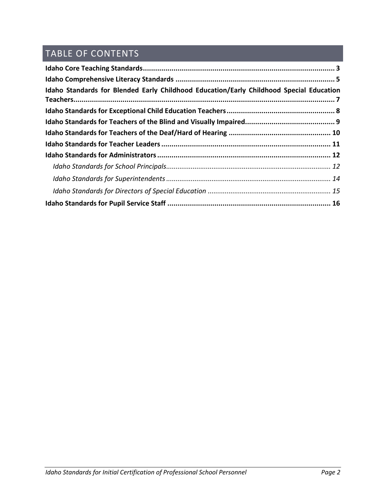## TABLE OF CONTENTS

| Idaho Standards for Blended Early Childhood Education/Early Childhood Special Education |  |
|-----------------------------------------------------------------------------------------|--|
|                                                                                         |  |
|                                                                                         |  |
|                                                                                         |  |
|                                                                                         |  |
|                                                                                         |  |
|                                                                                         |  |
|                                                                                         |  |
|                                                                                         |  |
|                                                                                         |  |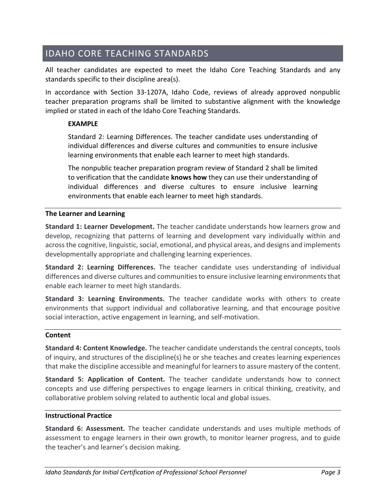### <span id="page-2-0"></span>IDAHO CORE TEACHING STANDARDS

All teacher candidates are expected to meet the Idaho Core Teaching Standards and any standards specific to their discipline area(s).

In accordance with Section 33-1207A, Idaho Code, reviews of already approved nonpublic teacher preparation programs shall be limited to substantive alignment with the knowledge implied or stated in each of the Idaho Core Teaching Standards.

#### **EXAMPLE**

Standard 2: Learning Differences. The teacher candidate uses understanding of individual differences and diverse cultures and communities to ensure inclusive learning environments that enable each learner to meet high standards.

The nonpublic teacher preparation program review of Standard 2 shall be limited to verification that the candidate **knows how** they can use their understanding of individual differences and diverse cultures to ensure inclusive learning environments that enable each learner to meet high standards.

#### **The Learner and Learning**

**Standard 1: Learner Development.** The teacher candidate understands how learners grow and develop, recognizing that patterns of learning and development vary individually within and across the cognitive, linguistic, social, emotional, and physical areas, and designs and implements developmentally appropriate and challenging learning experiences.

**Standard 2: Learning Differences.** The teacher candidate uses understanding of individual differences and diverse cultures and communities to ensure inclusive learning environments that enable each learner to meet high standards.

**Standard 3: Learning Environments.** The teacher candidate works with others to create environments that support individual and collaborative learning, and that encourage positive social interaction, active engagement in learning, and self-motivation.

#### **Content**

**Standard 4: Content Knowledge.** The teacher candidate understands the central concepts, tools of inquiry, and structures of the discipline(s) he or she teaches and creates learning experiences that make the discipline accessible and meaningful for learners to assure mastery of the content.

**Standard 5: Application of Content.** The teacher candidate understands how to connect concepts and use differing perspectives to engage learners in critical thinking, creativity, and collaborative problem solving related to authentic local and global issues.

#### **Instructional Practice**

**Standard 6: Assessment.** The teacher candidate understands and uses multiple methods of assessment to engage learners in their own growth, to monitor learner progress, and to guide the teacher's and learner's decision making.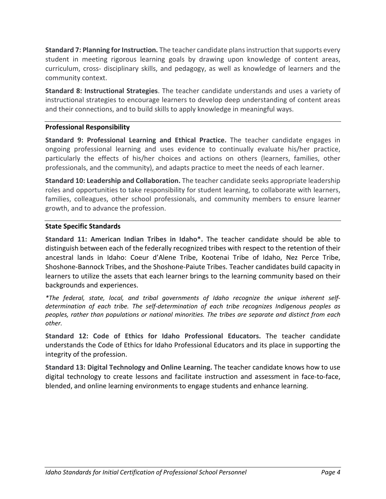**Standard 7: Planning for Instruction.** The teacher candidate plans instruction that supports every student in meeting rigorous learning goals by drawing upon knowledge of content areas, curriculum, cross- disciplinary skills, and pedagogy, as well as knowledge of learners and the community context.

**Standard 8: Instructional Strategies**. The teacher candidate understands and uses a variety of instructional strategies to encourage learners to develop deep understanding of content areas and their connections, and to build skills to apply knowledge in meaningful ways.

#### **Professional Responsibility**

**Standard 9: Professional Learning and Ethical Practice.** The teacher candidate engages in ongoing professional learning and uses evidence to continually evaluate his/her practice, particularly the effects of his/her choices and actions on others (learners, families, other professionals, and the community), and adapts practice to meet the needs of each learner.

**Standard 10: Leadership and Collaboration.** The teacher candidate seeks appropriate leadership roles and opportunities to take responsibility for student learning, to collaborate with learners, families, colleagues, other school professionals, and community members to ensure learner growth, and to advance the profession.

#### **State Specific Standards**

**Standard 11: American Indian Tribes in Idaho\*.** The teacher candidate should be able to distinguish between each of the federally recognized tribes with respect to the retention of their ancestral lands in Idaho: Coeur d'Alene Tribe, Kootenai Tribe of Idaho, Nez Perce Tribe, Shoshone-Bannock Tribes, and the Shoshone-Paiute Tribes. Teacher candidates build capacity in learners to utilize the assets that each learner brings to the learning community based on their backgrounds and experiences.

*\*The federal, state, local, and tribal governments of Idaho recognize the unique inherent selfdetermination of each tribe. The self-determination of each tribe recognizes Indigenous peoples as peoples, rather than populations or national minorities. The tribes are separate and distinct from each other.* 

**Standard 12: Code of Ethics for Idaho Professional Educators.** The teacher candidate understands the Code of Ethics for Idaho Professional Educators and its place in supporting the integrity of the profession.

**Standard 13: Digital Technology and Online Learning.** The teacher candidate knows how to use digital technology to create lessons and facilitate instruction and assessment in face-to-face, blended, and online learning environments to engage students and enhance learning.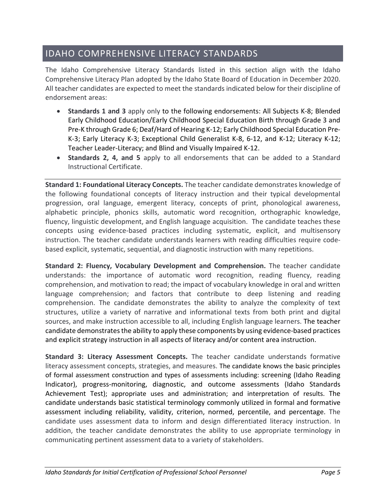### <span id="page-4-0"></span>IDAHO COMPREHENSIVE LITERACY STANDARDS

The Idaho Comprehensive Literacy Standards listed in this section align with the Idaho Comprehensive Literacy Plan adopted by the Idaho State Board of Education in December 2020. All teacher candidates are expected to meet the standards indicated below for their discipline of endorsement areas:

- **Standards 1 and 3** apply only to the following endorsements: All Subjects K-8; Blended Early Childhood Education/Early Childhood Special Education Birth through Grade 3 and Pre-K through Grade 6; Deaf/Hard of Hearing K-12; Early Childhood Special Education Pre-K-3; Early Literacy K-3; Exceptional Child Generalist K-8, 6-12, and K-12; Literacy K-12; Teacher Leader-Literacy; and Blind and Visually Impaired K-12.
- **Standards 2, 4, and 5** apply to all endorsements that can be added to a Standard Instructional Certificate.

**Standard 1: Foundational Literacy Concepts.** The teacher candidate demonstrates knowledge of the following foundational concepts of literacy instruction and their typical developmental progression, oral language, emergent literacy, concepts of print, phonological awareness, alphabetic principle, phonics skills, automatic word recognition, orthographic knowledge, fluency, linguistic development, and English language acquisition. The candidate teaches these concepts using evidence-based practices including systematic, explicit, and multisensory instruction. The teacher candidate understands learners with reading difficulties require codebased explicit, systematic, sequential, and diagnostic instruction with many repetitions.

**Standard 2: Fluency, Vocabulary Development and Comprehension.** The teacher candidate understands: the importance of automatic word recognition, reading fluency, reading comprehension, and motivation to read; the impact of vocabulary knowledge in oral and written language comprehension; and factors that contribute to deep listening and reading comprehension. The candidate demonstrates the ability to analyze the complexity of text structures, utilize a variety of narrative and informational texts from both print and digital sources, and make instruction accessible to all, including English language learners. The teacher candidate demonstrates the ability to apply these components by using evidence-based practices and explicit strategy instruction in all aspects of literacy and/or content area instruction.

**Standard 3: Literacy Assessment Concepts.** The teacher candidate understands formative literacy assessment concepts, strategies, and measures. The candidate knows the basic principles of formal assessment construction and types of assessments including: screening (Idaho Reading Indicator), progress-monitoring, diagnostic, and outcome assessments (Idaho Standards Achievement Test); appropriate uses and administration; and interpretation of results. The candidate understands basic statistical terminology commonly utilized in formal and formative assessment including reliability, validity, criterion, normed, percentile, and percentage. The candidate uses assessment data to inform and design differentiated literacy instruction. In addition, the teacher candidate demonstrates the ability to use appropriate terminology in communicating pertinent assessment data to a variety of stakeholders.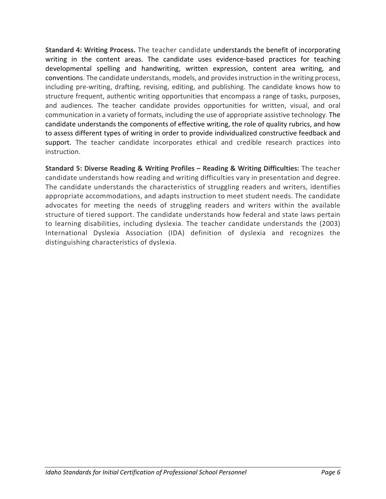**Standard 4: Writing Process.** The teacher candidate understands the benefit of incorporating writing in the content areas. The candidate uses evidence-based practices for teaching developmental spelling and handwriting, written expression, content area writing, and conventions. The candidate understands, models, and provides instruction in the writing process, including pre-writing, drafting, revising, editing, and publishing. The candidate knows how to structure frequent, authentic writing opportunities that encompass a range of tasks, purposes, and audiences. The teacher candidate provides opportunities for written, visual, and oral communication in a variety of formats, including the use of appropriate assistive technology. The candidate understands the components of effective writing, the role of quality rubrics, and how to assess different types of writing in order to provide individualized constructive feedback and support. The teacher candidate incorporates ethical and credible research practices into instruction.

**Standard 5: Diverse Reading & Writing Profiles – Reading & Writing Difficulties:** The teacher candidate understands how reading and writing difficulties vary in presentation and degree. The candidate understands the characteristics of struggling readers and writers, identifies appropriate accommodations, and adapts instruction to meet student needs. The candidate advocates for meeting the needs of struggling readers and writers within the available structure of tiered support. The candidate understands how federal and state laws pertain to learning disabilities, including dyslexia. The teacher candidate understands the (2003) International Dyslexia Association (IDA) definition of dyslexia and recognizes the distinguishing characteristics of dyslexia.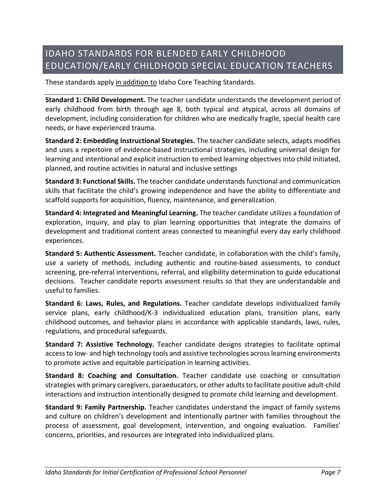### <span id="page-6-0"></span>IDAHO STANDARDS FOR BLENDED EARLY CHILDHOOD EDUCATION/EARLY CHILDHOOD SPECIAL EDUCATION TEACHERS

These standards apply in addition to Idaho Core Teaching Standards.

**Standard 1: Child Development.** The teacher candidate understands the development period of early childhood from birth through age 8, both typical and atypical, across all domains of development, including consideration for children who are medically fragile, special health care needs, or have experienced trauma.

**Standard 2: Embedding Instructional Strategies.** The teacher candidate selects, adapts modifies and uses a repertoire of evidence-based instructional strategies, including universal design for learning and intentional and explicit instruction to embed learning objectives into child initiated, planned, and routine activities in natural and inclusive settings

**Standard 3: Functional Skills.** The teacher candidate understands functional and communication skills that facilitate the child's growing independence and have the ability to differentiate and scaffold supports for acquisition, fluency, maintenance, and generalization.

**Standard 4: Integrated and Meaningful Learning.** The teacher candidate utilizes a foundation of exploration, inquiry, and play to plan learning opportunities that integrate the domains of development and traditional content areas connected to meaningful every day early childhood experiences.

**Standard 5: Authentic Assessment.** Teacher candidate, in collaboration with the child's family, use a variety of methods, including authentic and routine-based assessments, to conduct screening, pre-referral interventions, referral, and eligibility determination to guide educational decisions. Teacher candidate reports assessment results so that they are understandable and useful to families.

**Standard 6: Laws, Rules, and Regulations.** Teacher candidate develops individualized family service plans, early childhood/K-3 individualized education plans, transition plans, early childhood outcomes, and behavior plans in accordance with applicable standards, laws, rules, regulations, and procedural safeguards.

**Standard 7: Assistive Technology.** Teacher candidate designs strategies to facilitate optimal access to low- and high technology tools and assistive technologies across learning environments to promote active and equitable participation in learning activities.

**Standard 8: Coaching and Consultation.** Teacher candidate use coaching or consultation strategies with primary caregivers, paraeducators, or other adults to facilitate positive adult-child interactions and instruction intentionally designed to promote child learning and development.

**Standard 9: Family Partnership.** Teacher candidates understand the impact of family systems and culture on children's development and intentionally partner with families throughout the process of assessment, goal development, intervention, and ongoing evaluation. Families' concerns, priorities, and resources are integrated into individualized plans.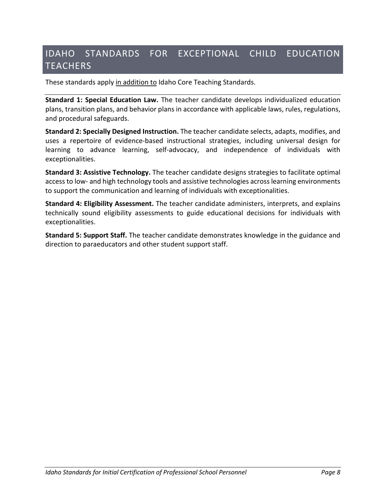### <span id="page-7-0"></span>IDAHO STANDARDS FOR EXCEPTIONAL CHILD EDUCATION **TEACHERS**

These standards apply in addition to Idaho Core Teaching Standards.

**Standard 1: Special Education Law.** The teacher candidate develops individualized education plans, transition plans, and behavior plans in accordance with applicable laws, rules, regulations, and procedural safeguards.

**Standard 2: Specially Designed Instruction.** The teacher candidate selects, adapts, modifies, and uses a repertoire of evidence-based instructional strategies, including universal design for learning to advance learning, self-advocacy, and independence of individuals with exceptionalities.

**Standard 3: Assistive Technology.** The teacher candidate designs strategies to facilitate optimal access to low- and high technology tools and assistive technologies across learning environments to support the communication and learning of individuals with exceptionalities.

**Standard 4: Eligibility Assessment.** The teacher candidate administers, interprets, and explains technically sound eligibility assessments to guide educational decisions for individuals with exceptionalities.

**Standard 5: Support Staff.** The teacher candidate demonstrates knowledge in the guidance and direction to paraeducators and other student support staff.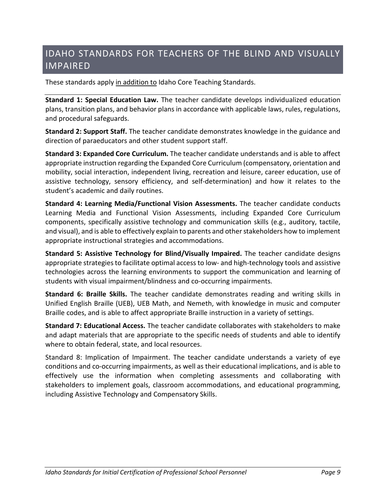### <span id="page-8-0"></span>IDAHO STANDARDS FOR TEACHERS OF THE BLIND AND VISUALLY IMPAIRED

These standards apply in addition to Idaho Core Teaching Standards.

**Standard 1: Special Education Law.** The teacher candidate develops individualized education plans, transition plans, and behavior plans in accordance with applicable laws, rules, regulations, and procedural safeguards.

**Standard 2: Support Staff.** The teacher candidate demonstrates knowledge in the guidance and direction of paraeducators and other student support staff.

**Standard 3: Expanded Core Curriculum.** The teacher candidate understands and is able to affect appropriate instruction regarding the Expanded Core Curriculum (compensatory, orientation and mobility, social interaction, independent living, recreation and leisure, career education, use of assistive technology, sensory efficiency, and self-determination) and how it relates to the student's academic and daily routines.

**Standard 4: Learning Media/Functional Vision Assessments.** The teacher candidate conducts Learning Media and Functional Vision Assessments, including Expanded Core Curriculum components, specifically assistive technology and communication skills (e.g., auditory, tactile, and visual), and is able to effectively explain to parents and other stakeholders how to implement appropriate instructional strategies and accommodations.

**Standard 5: Assistive Technology for Blind/Visually Impaired.** The teacher candidate designs appropriate strategies to facilitate optimal access to low- and high-technology tools and assistive technologies across the learning environments to support the communication and learning of students with visual impairment/blindness and co-occurring impairments.

**Standard 6: Braille Skills.** The teacher candidate demonstrates reading and writing skills in Unified English Braille (UEB), UEB Math, and Nemeth, with knowledge in music and computer Braille codes, and is able to affect appropriate Braille instruction in a variety of settings.

**Standard 7: Educational Access.** The teacher candidate collaborates with stakeholders to make and adapt materials that are appropriate to the specific needs of students and able to identify where to obtain federal, state, and local resources.

Standard 8: Implication of Impairment. The teacher candidate understands a variety of eye conditions and co-occurring impairments, as well as their educational implications, and is able to effectively use the information when completing assessments and collaborating with stakeholders to implement goals, classroom accommodations, and educational programming, including Assistive Technology and Compensatory Skills.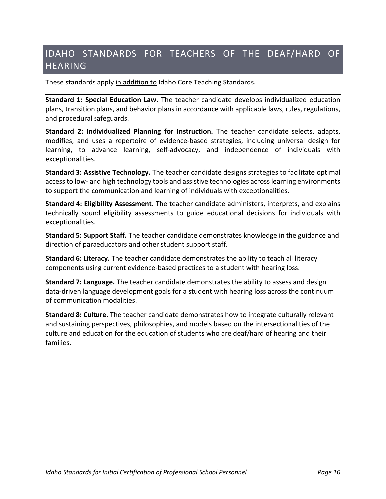### <span id="page-9-0"></span>IDAHO STANDARDS FOR TEACHERS OF THE DEAF/HARD OF **HEARING**

These standards apply in addition to Idaho Core Teaching Standards.

**Standard 1: Special Education Law.** The teacher candidate develops individualized education plans, transition plans, and behavior plans in accordance with applicable laws, rules, regulations, and procedural safeguards.

**Standard 2: Individualized Planning for Instruction.** The teacher candidate selects, adapts, modifies, and uses a repertoire of evidence-based strategies, including universal design for learning, to advance learning, self-advocacy, and independence of individuals with exceptionalities.

**Standard 3: Assistive Technology.** The teacher candidate designs strategies to facilitate optimal access to low- and high technology tools and assistive technologies across learning environments to support the communication and learning of individuals with exceptionalities.

**Standard 4: Eligibility Assessment.** The teacher candidate administers, interprets, and explains technically sound eligibility assessments to guide educational decisions for individuals with exceptionalities.

**Standard 5: Support Staff.** The teacher candidate demonstrates knowledge in the guidance and direction of paraeducators and other student support staff.

**Standard 6: Literacy.** The teacher candidate demonstrates the ability to teach all literacy components using current evidence-based practices to a student with hearing loss.

**Standard 7: Language.** The teacher candidate demonstrates the ability to assess and design data-driven language development goals for a student with hearing loss across the continuum of communication modalities.

**Standard 8: Culture.** The teacher candidate demonstrates how to integrate culturally relevant and sustaining perspectives, philosophies, and models based on the intersectionalities of the culture and education for the education of students who are deaf/hard of hearing and their families.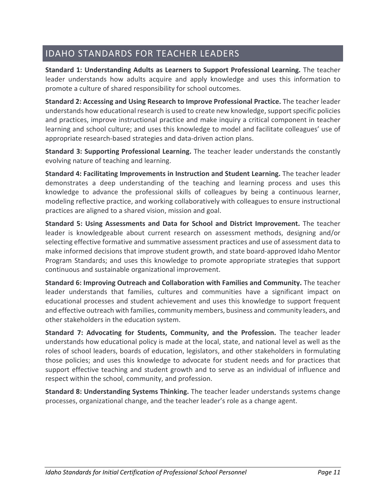### <span id="page-10-0"></span>IDAHO STANDARDS FOR TEACHER LEADERS

**Standard 1: Understanding Adults as Learners to Support Professional Learning.** The teacher leader understands how adults acquire and apply knowledge and uses this information to promote a culture of shared responsibility for school outcomes.

**Standard 2: Accessing and Using Research to Improve Professional Practice.** The teacher leader understands how educational research is used to create new knowledge, support specific policies and practices, improve instructional practice and make inquiry a critical component in teacher learning and school culture; and uses this knowledge to model and facilitate colleagues' use of appropriate research-based strategies and data-driven action plans.

**Standard 3: Supporting Professional Learning.** The teacher leader understands the constantly evolving nature of teaching and learning.

**Standard 4: Facilitating Improvements in Instruction and Student Learning.** The teacher leader demonstrates a deep understanding of the teaching and learning process and uses this knowledge to advance the professional skills of colleagues by being a continuous learner, modeling reflective practice, and working collaboratively with colleagues to ensure instructional practices are aligned to a shared vision, mission and goal.

**Standard 5: Using Assessments and Data for School and District Improvement.** The teacher leader is knowledgeable about current research on assessment methods, designing and/or selecting effective formative and summative assessment practices and use of assessment data to make informed decisions that improve student growth, and state board-approved Idaho Mentor Program Standards; and uses this knowledge to promote appropriate strategies that support continuous and sustainable organizational improvement.

**Standard 6: Improving Outreach and Collaboration with Families and Community.** The teacher leader understands that families, cultures and communities have a significant impact on educational processes and student achievement and uses this knowledge to support frequent and effective outreach with families, community members, business and community leaders, and other stakeholders in the education system.

**Standard 7: Advocating for Students, Community, and the Profession.** The teacher leader understands how educational policy is made at the local, state, and national level as well as the roles of school leaders, boards of education, legislators, and other stakeholders in formulating those policies; and uses this knowledge to advocate for student needs and for practices that support effective teaching and student growth and to serve as an individual of influence and respect within the school, community, and profession.

**Standard 8: Understanding Systems Thinking.** The teacher leader understands systems change processes, organizational change, and the teacher leader's role as a change agent.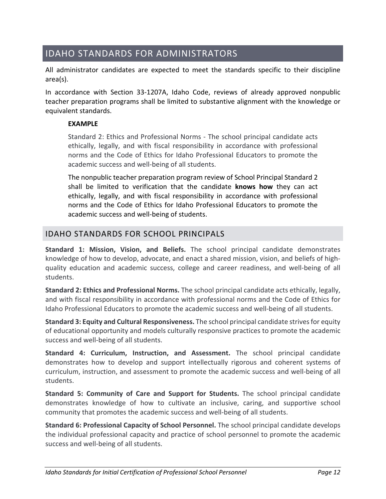### <span id="page-11-0"></span>IDAHO STANDARDS FOR ADMINISTRATORS

All administrator candidates are expected to meet the standards specific to their discipline area(s).

In accordance with Section 33-1207A, Idaho Code, reviews of already approved nonpublic teacher preparation programs shall be limited to substantive alignment with the knowledge or equivalent standards.

#### **EXAMPLE**

Standard 2: Ethics and Professional Norms - The school principal candidate acts ethically, legally, and with fiscal responsibility in accordance with professional norms and the Code of Ethics for Idaho Professional Educators to promote the academic success and well-being of all students.

The nonpublic teacher preparation program review of School Principal Standard 2 shall be limited to verification that the candidate **knows how** they can act ethically, legally, and with fiscal responsibility in accordance with professional norms and the Code of Ethics for Idaho Professional Educators to promote the academic success and well-being of students.

#### <span id="page-11-1"></span>IDAHO STANDARDS FOR SCHOOL PRINCIPALS

**Standard 1: Mission, Vision, and Beliefs.** The school principal candidate demonstrates knowledge of how to develop, advocate, and enact a shared mission, vision, and beliefs of highquality education and academic success, college and career readiness, and well-being of all students.

**Standard 2: Ethics and Professional Norms.** The school principal candidate acts ethically, legally, and with fiscal responsibility in accordance with professional norms and the Code of Ethics for Idaho Professional Educators to promote the academic success and well-being of all students.

**Standard 3: Equity and Cultural Responsiveness.** The school principal candidate strivesfor equity of educational opportunity and models culturally responsive practices to promote the academic success and well-being of all students.

**Standard 4: Curriculum, Instruction, and Assessment.** The school principal candidate demonstrates how to develop and support intellectually rigorous and coherent systems of curriculum, instruction, and assessment to promote the academic success and well-being of all students.

**Standard 5: Community of Care and Support for Students.** The school principal candidate demonstrates knowledge of how to cultivate an inclusive, caring, and supportive school community that promotes the academic success and well-being of all students.

**Standard 6: Professional Capacity of School Personnel.** The school principal candidate develops the individual professional capacity and practice of school personnel to promote the academic success and well-being of all students.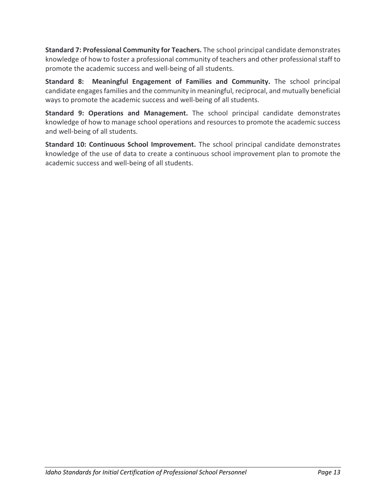**Standard 7: Professional Community for Teachers.** The school principal candidate demonstrates knowledge of how to foster a professional community of teachers and other professional staff to promote the academic success and well-being of all students.

**Standard 8: Meaningful Engagement of Families and Community.** The school principal candidate engagesfamilies and the community in meaningful, reciprocal, and mutually beneficial ways to promote the academic success and well-being of all students.

**Standard 9: Operations and Management.** The school principal candidate demonstrates knowledge of how to manage school operations and resources to promote the academic success and well-being of all students.

**Standard 10: Continuous School Improvement.** The school principal candidate demonstrates knowledge of the use of data to create a continuous school improvement plan to promote the academic success and well-being of all students.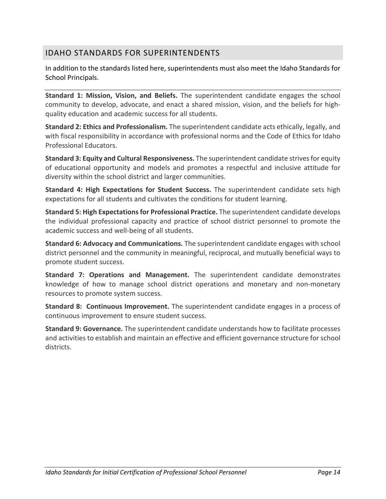#### <span id="page-13-0"></span>IDAHO STANDARDS FOR SUPERINTENDENTS

In addition to the standards listed here, superintendents must also meet the Idaho Standards for School Principals.

**Standard 1: Mission, Vision, and Beliefs.** The superintendent candidate engages the school community to develop, advocate, and enact a shared mission, vision, and the beliefs for highquality education and academic success for all students.

**Standard 2: Ethics and Professionalism.** The superintendent candidate acts ethically, legally, and with fiscal responsibility in accordance with professional norms and the Code of Ethics for Idaho Professional Educators.

**Standard 3: Equity and Cultural Responsiveness.** The superintendent candidate strivesfor equity of educational opportunity and models and promotes a respectful and inclusive attitude for diversity within the school district and larger communities.

**Standard 4: High Expectations for Student Success.** The superintendent candidate sets high expectations for all students and cultivates the conditions for student learning.

**Standard 5: High Expectations for Professional Practice.** The superintendent candidate develops the individual professional capacity and practice of school district personnel to promote the academic success and well-being of all students.

**Standard 6: Advocacy and Communications.** The superintendent candidate engages with school district personnel and the community in meaningful, reciprocal, and mutually beneficial ways to promote student success.

**Standard 7: Operations and Management.** The superintendent candidate demonstrates knowledge of how to manage school district operations and monetary and non-monetary resources to promote system success.

**Standard 8: Continuous Improvement.** The superintendent candidate engages in a process of continuous improvement to ensure student success.

**Standard 9: Governance.** The superintendent candidate understands how to facilitate processes and activities to establish and maintain an effective and efficient governance structure for school districts.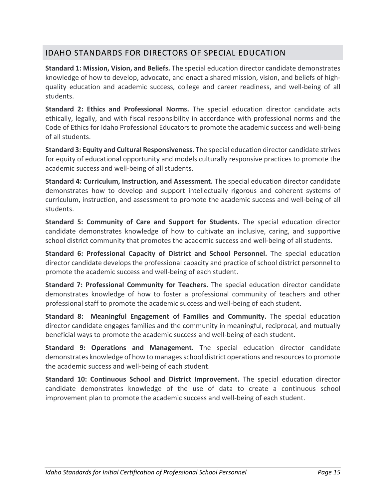#### <span id="page-14-0"></span>IDAHO STANDARDS FOR DIRECTORS OF SPECIAL EDUCATION

**Standard 1: Mission, Vision, and Beliefs.** The special education director candidate demonstrates knowledge of how to develop, advocate, and enact a shared mission, vision, and beliefs of highquality education and academic success, college and career readiness, and well-being of all students.

**Standard 2: Ethics and Professional Norms.** The special education director candidate acts ethically, legally, and with fiscal responsibility in accordance with professional norms and the Code of Ethics for Idaho Professional Educators to promote the academic success and well-being of all students.

**Standard 3: Equity and Cultural Responsiveness.** The special education director candidate strives for equity of educational opportunity and models culturally responsive practices to promote the academic success and well-being of all students.

**Standard 4: Curriculum, Instruction, and Assessment.** The special education director candidate demonstrates how to develop and support intellectually rigorous and coherent systems of curriculum, instruction, and assessment to promote the academic success and well-being of all students.

**Standard 5: Community of Care and Support for Students.** The special education director candidate demonstrates knowledge of how to cultivate an inclusive, caring, and supportive school district community that promotes the academic success and well-being of all students.

**Standard 6: Professional Capacity of District and School Personnel.** The special education director candidate develops the professional capacity and practice of school district personnel to promote the academic success and well-being of each student.

**Standard 7: Professional Community for Teachers.** The special education director candidate demonstrates knowledge of how to foster a professional community of teachers and other professional staff to promote the academic success and well-being of each student.

**Standard 8: Meaningful Engagement of Families and Community.** The special education director candidate engages families and the community in meaningful, reciprocal, and mutually beneficial ways to promote the academic success and well-being of each student.

**Standard 9: Operations and Management.** The special education director candidate demonstrates knowledge of how to manages school district operations and resources to promote the academic success and well-being of each student.

**Standard 10: Continuous School and District Improvement.** The special education director candidate demonstrates knowledge of the use of data to create a continuous school improvement plan to promote the academic success and well-being of each student.